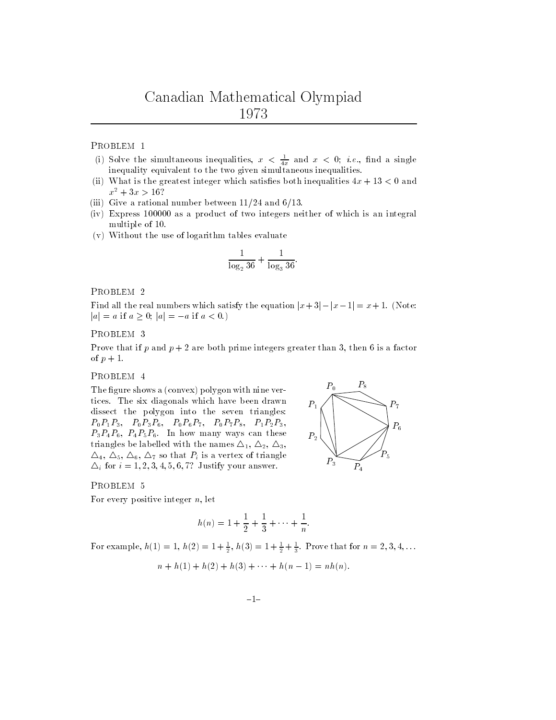PROBLEM <sup>1</sup>

- (1) Solve the simultaneous inequalities,  $x < \frac{1}{4x}$  and  $x <$  0; *i.e.*, find a single inequality equivalent to the two given simultaneous inequalities.
- (ii) What is the greatest integer which satisfies both inequalities  $4x + 13 < 0$  and  $x^2 + 3x > 16$ ?
- (iii) Give a rational number between  $11/24$  and  $6/13$ .
- (iv) Express 100000 as a product of two integers neither of which is an integralmultiple of 10.
- (v) Without the use of logarithm tables evaluate

$$
\frac{1}{\log_2 36} + \frac{1}{\log_3 36}.
$$

PROBLEM <sup>2</sup>

Find an the real numbers which satisfy the equation  $|x|\pm 3| = |x| = |x| + 1$ . (Those:  $|a| = a$  if  $a \ge 0$ ;  $|a| = -a$  if  $a < 0$ .)

 $P$  rove that if  $p$  and  $p \pm 2$  are both prime integers greater than 3, then 0 is a factor  $p$  $\cup$   $\cup$   $\top$  1.

PROBLEM <sup>4</sup>

The figure shows a (convex) polygon with nine vertices. The six diagonals which have been drawn dissect the polygon into the section of the section of the section of the section of the section of the section  $P_0P_1P_3$ ,  $P_0P_3P_6$ ,  $P_0P_6P_7$ ,  $P_0P_7P_8$ ,  $P_1P_2P_3$ ,  $P_3P_4P_6$ ,  $P_4P_5P_6$ . In how many ways can these triangles be labelled with the names  $\omega_1, \omega_2, \omega_3,$  $\Delta_4$ ,  $\Delta_5$ ,  $\Delta_6$ ,  $\Delta_7$  so that  $P_i$  is a vertex of triangle  $\Delta_i$  for  $i = 1, 2, 3, 4, 5, 6, 7$ ? Justify your answer.



PROBLEM <sup>5</sup>

 $F$  or every positive integer  $n$ , let

$$
h(n) = 1 + \frac{1}{2} + \frac{1}{3} + \dots + \frac{1}{n}.
$$

For example,  $h(1) = 1$ ,  $h(2) = 1 + \frac{1}{2}$ ,  $h(3) = 1 + \frac{1}{2} + \frac{1}{3}$ . Prove that for  $n = 2, 3, 4, ...$ 

$$
n + h(1) + h(2) + h(3) + \cdots + h(n - 1) = nh(n).
$$